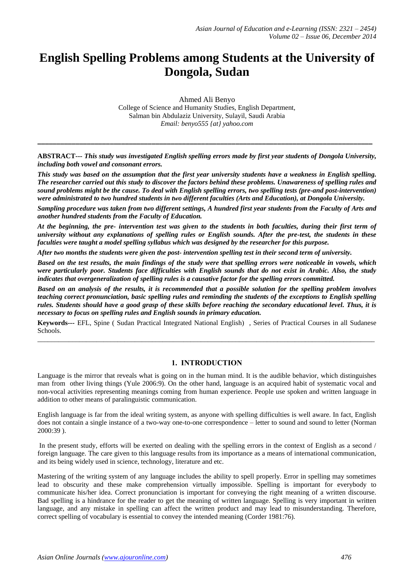# **English Spelling Problems among Students at the University of Dongola, Sudan**

Ahmed Ali Benyo College of Science and Humanity Studies, English Department, Salman bin Abdulaziz University, Sulayil, Saudi Arabia *Email: benyo555 {at} yahoo.com*

**ABSTRACT---** *This study was investigated English spelling errors made by first year students of Dongola University, including both vowel and consonant errors.*

**\_\_\_\_\_\_\_\_\_\_\_\_\_\_\_\_\_\_\_\_\_\_\_\_\_\_\_\_\_\_\_\_\_\_\_\_\_\_\_\_\_\_\_\_\_\_\_\_\_\_\_\_\_\_\_\_\_\_\_\_\_\_\_\_\_\_\_\_\_\_\_\_\_\_\_\_\_\_\_\_\_\_\_\_\_\_\_\_**

*This study was based on the assumption that the first year university students have a weakness in English spelling. The researcher carried out this study to discover the factors behind these problems. Unawareness of spelling rules and sound problems might be the cause. To deal with English spelling errors, two spelling tests (pre-and post-intervention) were administrated to two hundred students in two different faculties (Arts and Education), at Dongola University.*

*Sampling procedure was taken from two different settings, A hundred first year students from the Faculty of Arts and another hundred students from the Faculty of Education.*

*At the beginning, the pre- intervention test was given to the students in both faculties, during their first term of university without any explanations of spelling rules or English sounds. After the pre-test, the students in these faculties were taught a model spelling syllabus which was designed by the researcher for this purpose.*

*After two months the students were given the post- intervention spelling test in their second term of university.*

*Based on the test results, the main findings of the study were that spelling errors were noticeable in vowels, which were particularly poor. Students face difficulties with English sounds that do not exist in Arabic. Also, the study indicates that overgeneralization of spelling rules is a causative factor for the spelling errors committed.*

*Based on an analysis of the results, it is recommended that a possible solution for the spelling problem involves teaching correct pronunciation, basic spelling rules and reminding the students of the exceptions to English spelling rules. Students should have a good grasp of these skills before reaching the secondary educational level. Thus, it is necessary to focus on spelling rules and English sounds in primary education.*

**Keywords---** EFL, Spine ( Sudan Practical Integrated National English) , Series of Practical Courses in all Sudanese Schools. \_\_\_\_\_\_\_\_\_\_\_\_\_\_\_\_\_\_\_\_\_\_\_\_\_\_\_\_\_\_\_\_\_\_\_\_\_\_\_\_\_\_\_\_\_\_\_\_\_\_\_\_\_\_\_\_\_\_\_\_\_\_\_\_\_\_\_\_\_\_\_\_\_\_\_\_\_\_\_\_\_\_\_\_\_\_\_\_\_\_\_\_\_\_\_\_\_

# **1. INTRODUCTION**

Language is the mirror that reveals what is going on in the human mind. It is the audible behavior, which distinguishes man from other living things (Yule 2006:9). On the other hand, language is an acquired habit of systematic vocal and non-vocal activities representing meanings coming from human experience. People use spoken and written language in addition to other means of paralinguistic communication.

English language is far from the ideal writing system, as anyone with spelling difficulties is well aware. In fact, English does not contain a single instance of a two-way one-to-one correspondence – letter to sound and sound to letter (Norman 2000:39 ).

In the present study, efforts will be exerted on dealing with the spelling errors in the context of English as a second / foreign language. The care given to this language results from its importance as a means of international communication, and its being widely used in science, technology, literature and etc.

Mastering of the writing system of any language includes the ability to spell properly. Error in spelling may sometimes lead to obscurity and these make comprehension virtually impossible. Spelling is important for everybody to communicate his/her idea. Correct pronunciation is important for conveying the right meaning of a written discourse. Bad spelling is a hindrance for the reader to get the meaning of written language. Spelling is very important in written language, and any mistake in spelling can affect the written product and may lead to misunderstanding. Therefore, correct spelling of vocabulary is essential to convey the intended meaning (Corder 1981:76).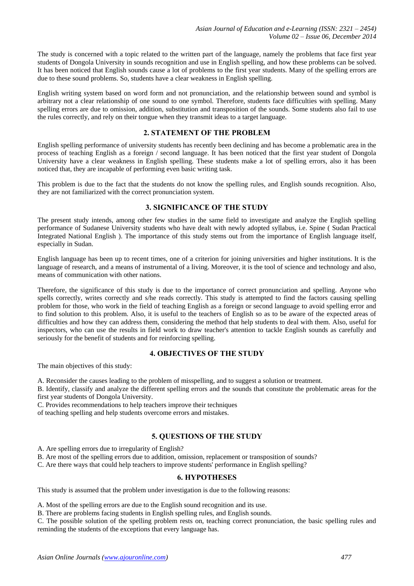The study is concerned with a topic related to the written part of the language, namely the problems that face first year students of Dongola University in sounds recognition and use in English spelling, and how these problems can be solved. It has been noticed that English sounds cause a lot of problems to the first year students. Many of the spelling errors are due to these sound problems. So, students have a clear weakness in English spelling.

English writing system based on word form and not pronunciation, and the relationship between sound and symbol is arbitrary not a clear relationship of one sound to one symbol. Therefore, students face difficulties with spelling. Many spelling errors are due to omission, addition, substitution and transposition of the sounds. Some students also fail to use the rules correctly, and rely on their tongue when they transmit ideas to a target language.

# **2. STATEMENT OF THE PROBLEM**

English spelling performance of university students has recently been declining and has become a problematic area in the process of teaching English as a foreign / second language. It has been noticed that the first year student of Dongola University have a clear weakness in English spelling. These students make a lot of spelling errors, also it has been noticed that, they are incapable of performing even basic writing task.

This problem is due to the fact that the students do not know the spelling rules, and English sounds recognition. Also, they are not familiarized with the correct pronunciation system.

# **3. SIGNIFICANCE OF THE STUDY**

The present study intends, among other few studies in the same field to investigate and analyze the English spelling performance of Sudanese University students who have dealt with newly adopted syllabus, i.e. Spine ( Sudan Practical Integrated National English ). The importance of this study stems out from the importance of English language itself, especially in Sudan.

English language has been up to recent times, one of a criterion for joining universities and higher institutions. It is the language of research, and a means of instrumental of a living. Moreover, it is the tool of science and technology and also, means of communication with other nations.

Therefore, the significance of this study is due to the importance of correct pronunciation and spelling. Anyone who spells correctly, writes correctly and s/he reads correctly. This study is attempted to find the factors causing spelling problem for those, who work in the field of teaching English as a foreign or second language to avoid spelling error and to find solution to this problem. Also, it is useful to the teachers of English so as to be aware of the expected areas of difficulties and how they can address them, considering the method that help students to deal with them. Also, useful for inspectors, who can use the results in field work to draw teacher's attention to tackle English sounds as carefully and seriously for the benefit of students and for reinforcing spelling.

# **4. OBJECTIVES OF THE STUDY**

The main objectives of this study:

A. Reconsider the causes leading to the problem of misspelling, and to suggest a solution or treatment.

B. Identify, classify and analyze the different spelling errors and the sounds that constitute the problematic areas for the first year students of Dongola University.

C. Provides recommendations to help teachers improve their techniques

of teaching spelling and help students overcome errors and mistakes.

# **5. QUESTIONS OF THE STUDY**

A. Are spelling errors due to irregularity of English?

B. Are most of the spelling errors due to addition, omission, replacement or transposition of sounds?

C. Are there ways that could help teachers to improve students' performance in English spelling?

# **6. HYPOTHESES**

This study is assumed that the problem under investigation is due to the following reasons:

A. Most of the spelling errors are due to the English sound recognition and its use.

B. There are problems facing students in English spelling rules, and English sounds.

C. The possible solution of the spelling problem rests on, teaching correct pronunciation, the basic spelling rules and reminding the students of the exceptions that every language has.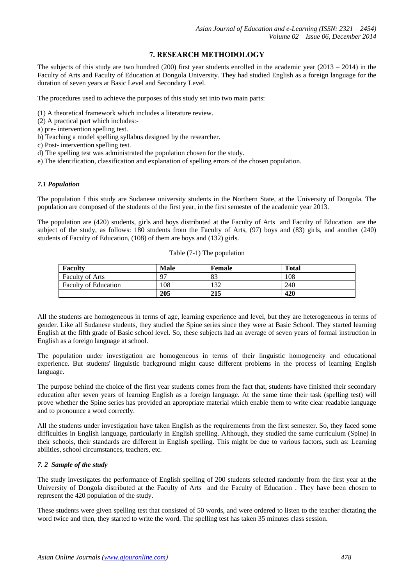# **7. RESEARCH METHODOLOGY**

The subjects of this study are two hundred (200) first year students enrolled in the academic year (2013 – 2014) in the Faculty of Arts and Faculty of Education at Dongola University. They had studied English as a foreign language for the duration of seven years at Basic Level and Secondary Level.

The procedures used to achieve the purposes of this study set into two main parts:

- (1) A theoretical framework which includes a literature review.
- (2) A practical part which includes:-
- a) pre- intervention spelling test.
- b) Teaching a model spelling syllabus designed by the researcher.
- c) Post- intervention spelling test.
- d) The spelling test was administrated the population chosen for the study.
- e) The identification, classification and explanation of spelling errors of the chosen population.

#### *7.1 Population*

The population f this study are Sudanese university students in the Northern State, at the University of Dongola. The population are composed of the students of the first year, in the first semester of the academic year 2013.

The population are (420) students, girls and boys distributed at the Faculty of Arts and Faculty of Education are the subject of the study, as follows: 180 students from the Faculty of Arts, (97) boys and (83) girls, and another (240) students of Faculty of Education, (108) of them are boys and (132) girls.

| <b>Faculty</b>              | <b>Male</b> | Female | <b>Total</b> |  |  |
|-----------------------------|-------------|--------|--------------|--|--|
| <b>Faculty of Arts</b>      | $Q^{\pi}$   | 83     | 108          |  |  |
| <b>Faculty of Education</b> | 108         | 132    | 240          |  |  |
|                             | 205         | 215    | 420          |  |  |

All the students are homogeneous in terms of age, learning experience and level, but they are heterogeneous in terms of gender. Like all Sudanese students, they studied the Spine series since they were at Basic School. They started learning English at the fifth grade of Basic school level. So, these subjects had an average of seven years of formal instruction in English as a foreign language at school.

The population under investigation are homogeneous in terms of their linguistic homogeneity and educational experience. But students' linguistic background might cause different problems in the process of learning English language.

The purpose behind the choice of the first year students comes from the fact that, students have finished their secondary education after seven years of learning English as a foreign language. At the same time their task (spelling test) will prove whether the Spine series has provided an appropriate material which enable them to write clear readable language and to pronounce a word correctly.

All the students under investigation have taken English as the requirements from the first semester. So, they faced some difficulties in English language, particularly in English spelling. Although, they studied the same curriculum (Spine) in their schools, their standards are different in English spelling. This might be due to various factors, such as: Learning abilities, school circumstances, teachers, etc.

# *7. 2 Sample of the study*

The study investigates the performance of English spelling of 200 students selected randomly from the first year at the University of Dongola distributed at the Faculty of Arts and the Faculty of Education . They have been chosen to represent the 420 population of the study.

These students were given spelling test that consisted of 50 words, and were ordered to listen to the teacher dictating the word twice and then, they started to write the word. The spelling test has taken 35 minutes class session.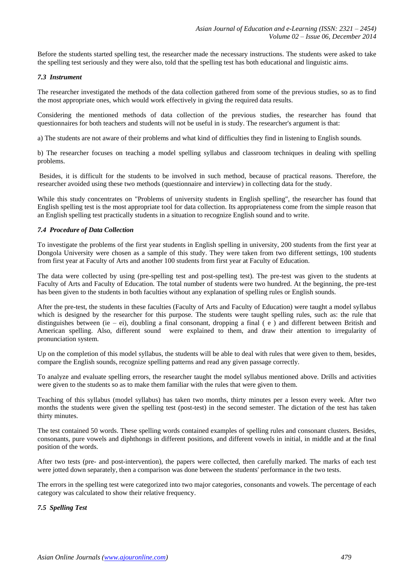Before the students started spelling test, the researcher made the necessary instructions. The students were asked to take the spelling test seriously and they were also, told that the spelling test has both educational and linguistic aims.

# *7.3 Instrument*

The researcher investigated the methods of the data collection gathered from some of the previous studies, so as to find the most appropriate ones, which would work effectively in giving the required data results.

Considering the mentioned methods of data collection of the previous studies, the researcher has found that questionnaires for both teachers and students will not be useful in is study. The researcher's argument is that:

a) The students are not aware of their problems and what kind of difficulties they find in listening to English sounds.

b) The researcher focuses on teaching a model spelling syllabus and classroom techniques in dealing with spelling problems.

Besides, it is difficult for the students to be involved in such method, because of practical reasons. Therefore, the researcher avoided using these two methods (questionnaire and interview) in collecting data for the study.

While this study concentrates on "Problems of university students in English spelling", the researcher has found that English spelling test is the most appropriate tool for data collection. Its appropriateness come from the simple reason that an English spelling test practically students in a situation to recognize English sound and to write.

# *7.4 Procedure of Data Collection*

To investigate the problems of the first year students in English spelling in university, 200 students from the first year at Dongola University were chosen as a sample of this study. They were taken from two different settings, 100 students from first year at Faculty of Arts and another 100 students from first year at Faculty of Education.

The data were collected by using (pre-spelling test and post-spelling test). The pre-test was given to the students at Faculty of Arts and Faculty of Education. The total number of students were two hundred. At the beginning, the pre-test has been given to the students in both faculties without any explanation of spelling rules or English sounds.

After the pre-test, the students in these faculties (Faculty of Arts and Faculty of Education) were taught a model syllabus which is designed by the researcher for this purpose. The students were taught spelling rules, such as: the rule that distinguishes between (ie – ei), doubling a final consonant, dropping a final  $(e)$  and different between British and American spelling. Also, different sound were explained to them, and draw their attention to irregularity of pronunciation system.

Up on the completion of this model syllabus, the students will be able to deal with rules that were given to them, besides, compare the English sounds, recognize spelling patterns and read any given passage correctly.

To analyze and evaluate spelling errors, the researcher taught the model syllabus mentioned above. Drills and activities were given to the students so as to make them familiar with the rules that were given to them.

Teaching of this syllabus (model syllabus) has taken two months, thirty minutes per a lesson every week. After two months the students were given the spelling test (post-test) in the second semester. The dictation of the test has taken thirty minutes.

The test contained 50 words. These spelling words contained examples of spelling rules and consonant clusters. Besides, consonants, pure vowels and diphthongs in different positions, and different vowels in initial, in middle and at the final position of the words.

After two tests (pre- and post-intervention), the papers were collected, then carefully marked. The marks of each test were jotted down separately, then a comparison was done between the students' performance in the two tests.

The errors in the spelling test were categorized into two major categories, consonants and vowels. The percentage of each category was calculated to show their relative frequency.

# *7.5 Spelling Test*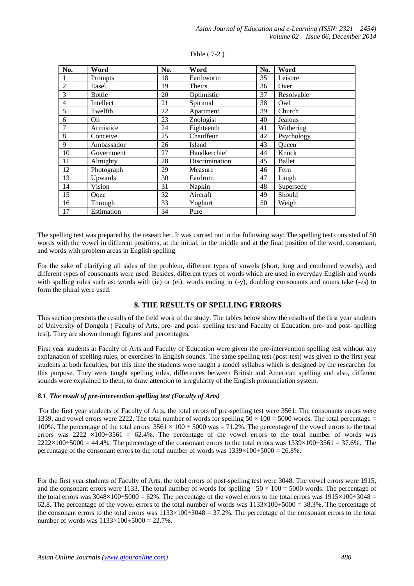| No.            | Word          | No. | Word           | No. | Word       |
|----------------|---------------|-----|----------------|-----|------------|
|                | Prompts       | 18  | Earthworm      | 35  | Leisure    |
| $\overline{2}$ | Easel         | 19  | <b>Theirs</b>  | 36  | Over       |
| 3              | <b>Bottle</b> | 20  | Optimistic     | 37  | Resolvable |
| $\overline{4}$ | Intellect     | 21  | Spiritual      | 38  | Owl        |
| 5              | Twelfth       | 22  | Apartment      | 39  | Church     |
| 6              | Oil           | 23  | Zoologist      | 40  | Jealous    |
| 7              | Armistice     | 24  | Eighteenth     | 41  | Withering  |
| 8              | Conceive      | 25  | Chauffeur      | 42  | Psychology |
| 9              | Ambassador    | 26  | Island         | 43  | Queen      |
| 10             | Government    | 27  | Handkerchief   | 44  | Knock      |
| 11             | Almighty      | 28  | Discrimination | 45  | Ballet     |
| 12             | Photograph    | 29  | Measure        | 46  | Fern       |
| 13             | Upwards       | 30  | Eardrum        | 47  | Laugh      |
| 14             | Vision        | 31  | Napkin         | 48  | Supersede  |
| 15             | Ooze          | 32  | Aircraft       | 49  | Should     |
| 16             | Through       | 33  | Yoghurt        | 50  | Weigh      |
| 17             | Estimation    | 34  | Pure           |     |            |

#### Table ( 7-2 )

The spelling test was prepared by the researcher. It was carried out in the following way: The spelling test consisted of 50 words with the vowel in different positions, at the initial, in the middle and at the final position of the word, consonant, and words with problem areas in English spelling.

For the sake of clarifying all sides of the problem, different types of vowels (short, long and combined vowels), and different types of consonants were used. Besides, different types of words which are used in everyday English and words with spelling rules such as: words with (ie) or (ei), words ending in (-y), doubling consonants and nouns take (-es) to form the plural were used.

# **8. THE RESULTS OF SPELLING ERRORS**

This section presents the results of the field work of the study. The tables below show the results of the first year students of University of Dongola ( Faculty of Arts, pre- and post- spelling test and Faculty of Education, pre- and post- spelling test). They are shown through figures and percentages.

First year students at Faculty of Arts and Faculty of Education were given the pre-intervention spelling test without any explanation of spelling rules, or exercises in English sounds. The same spelling test (post-test) was given to the first year students at both faculties, but this time the students were taught a model syllabus which is designed by the researcher for this purpose. They were taught spelling rules, differences between British and American spelling and also, different sounds were explained to them, to draw attention to irregularity of the English pronunciation system.

# *8.1 The result of pre-intervention spelling test (Faculty of Arts)*

For the first year students of Faculty of Arts, the total errors of pre-spelling test were 3561. The consonants errors were 1339, and vowel errors were 2222. The total number of words for spelling  $50 \times 100 = 5000$  words. The total percentage = 100%. The percentage of the total errors  $3561 \times 100 \div 5000$  was  $= 71.2\%$ . The percentage of the vowel errors to the total errors was  $2222 \times 100 \div 3561 = 62.4\%$ . The percentage of the vowel errors to the total number of words was  $2222\times100\div5000 = 44.4\%$ . The percentage of the consonant errors to the total errors was  $1339\times100\div3561 = 37.6\%$ . The percentage of the consonant errors to the total number of words was  $1339\times100-5000 = 26.8\%$ .

For the first year students of Faculty of Arts, the total errors of post-spelling test were 3048. The vowel errors were 1915, and the consonant errors were 1133. The total number of words for spelling  $50 \times 100 = 5000$  words. The percentage of the total errors was  $3048\times100\div5000 = 62\%$ . The percentage of the vowel errors to the total errors was  $1915\times100\div3048 =$ 62.8. The percentage of the vowel errors to the total number of words was  $1133\times100\div5000 = 38.3\%$ . The percentage of the consonant errors to the total errors was  $1133\times100-3048 = 37.2\%$ . The percentage of the consonant errors to the total number of words was  $1133\times100-5000 = 22.7\%$ .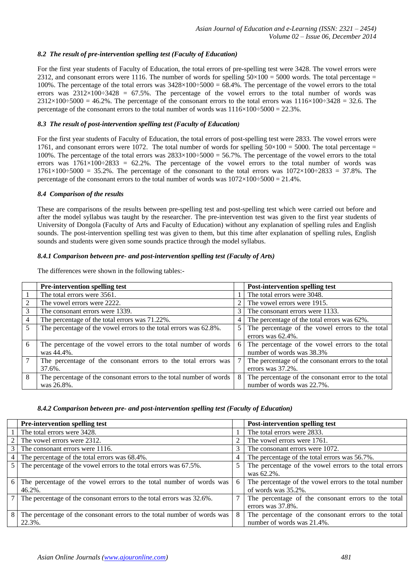# *8.2 The result of pre-intervention spelling test (Faculty of Education)*

For the first year students of Faculty of Education, the total errors of pre-spelling test were 3428. The vowel errors were 2312, and consonant errors were 1116. The number of words for spelling  $50\times100 = 5000$  words. The total percentage = 100%. The percentage of the total errors was  $3428 \times 100 \div 5000 = 68.4\%$ . The percentage of the vowel errors to the total errors was  $2312\times100\div 3428 = 67.5\%$ . The percentage of the vowel errors to the total number of words was  $2312\times100\div5000 = 46.2\%$ . The percentage of the consonant errors to the total errors was  $1116\times100\div3428 = 32.6$ . The percentage of the consonant errors to the total number of words was  $1116\times100-5000 = 22.3\%$ .

# *8.3 The result of post-intervention spelling test (Faculty of Education)*

For the first year students of Faculty of Education, the total errors of post-spelling test were 2833. The vowel errors were 1761, and consonant errors were 1072. The total number of words for spelling  $50\times100 = 5000$ . The total percentage = 100%. The percentage of the total errors was  $2833\times100\times5000 = 56.7\%$ . The percentage of the vowel errors to the total errors was  $1761\times100\div2833 = 62.2\%$ . The percentage of the vowel errors to the total number of words was  $1761\times100\div5000 = 35.2\%$ . The percentage of the consonant to the total errors was  $1072\times100\div2833 = 37.8\%$ . The percentage of the consonant errors to the total number of words was  $1072\times100-5000 = 21.4\%$ .

#### *8.4 Comparison of the results*

These are comparisons of the results between pre-spelling test and post-spelling test which were carried out before and after the model syllabus was taught by the researcher. The pre-intervention test was given to the first year students of University of Dongola (Faculty of Arts and Faculty of Education) without any explanation of spelling rules and English sounds. The post-intervention spelling test was given to them, but this time after explanation of spelling rules, English sounds and students were given some sounds practice through the model syllabus.

# *8.4.1 Comparison between pre- and post-intervention spelling test (Faculty of Arts)*

The differences were shown in the following tables:-

|   | <b>Pre-intervention spelling test</b>                               |                | <b>Post-intervention spelling test</b>              |
|---|---------------------------------------------------------------------|----------------|-----------------------------------------------------|
|   | The total errors were 3561.                                         |                | The total errors were 3048.                         |
|   | The vowel errors were 2222.                                         | $\overline{2}$ | The vowel errors were 1915.                         |
|   | The consonant errors were 1339.                                     | 3              | The consonant errors were 1133.                     |
| 4 | The percentage of the total errors was 71.22%.                      | $\overline{4}$ | The percentage of the total errors was 62%.         |
| 5 | The percentage of the vowel errors to the total errors was 62.8%.   | 5 <sup>1</sup> | The percentage of the vowel errors to the total     |
|   |                                                                     |                | errors was $62.4\%$ .                               |
| 6 | The percentage of the vowel errors to the total number of words     | 6              | The percentage of the vowel errors to the total     |
|   | was 44.4%.                                                          |                | number of words was 38.3%                           |
|   | The percentage of the consonant errors to the total errors was      | 7              | The percentage of the consonant errors to the total |
|   | 37.6%.                                                              |                | errors was 37.2%.                                   |
| 8 | The percentage of the consonant errors to the total number of words | 8              | The percentage of the consonant error to the total  |
|   | was 26.8%.                                                          |                | number of words was 22.7%.                          |

#### *8.4.2 Comparison between pre- and post-intervention spelling test (Faculty of Education)*

| <b>Pre-intervention spelling test</b>                                     |   | <b>Post-intervention spelling test</b>                 |
|---------------------------------------------------------------------------|---|--------------------------------------------------------|
| The total errors were 3428.                                               |   | The total errors were 2833.                            |
| 2 The vowel errors were 2312.                                             | 2 | The vowel errors were 1761.                            |
| 3 The consonant errors were 1116.                                         | 3 | The consonant errors were 1072.                        |
| 4 The percentage of the total errors was 68.4%.                           | 4 | The percentage of the total errors was 56.7%.          |
| 5 The percentage of the vowel errors to the total errors was 67.5%.       | 5 | The percentage of the vowel errors to the total errors |
|                                                                           |   | was 62.2%.                                             |
| 6 The percentage of the vowel errors to the total number of words was     | 6 | The percentage of the vowel errors to the total number |
| $46.2\%$ .                                                                |   | of words was $35.2\%$ .                                |
| 7 The percentage of the consonant errors to the total errors was 32.6%.   |   | The percentage of the consonant errors to the total    |
|                                                                           |   | errors was 37.8%.                                      |
| 8 The percentage of the consonant errors to the total number of words was | 8 | The percentage of the consonant errors to the total    |
| 22.3%.                                                                    |   | number of words was 21.4%.                             |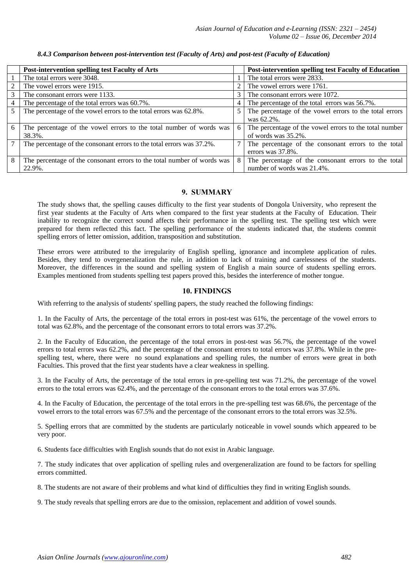|                 | <b>Post-intervention spelling test Faculty of Arts</b>                  |   | <b>Post-intervention spelling test Faculty of Education</b> |
|-----------------|-------------------------------------------------------------------------|---|-------------------------------------------------------------|
|                 | The total errors were 3048.                                             |   | The total errors were 2833.                                 |
| 2               | The vowel errors were 1915.                                             |   | The vowel errors were 1761.                                 |
| 3               | The consonant errors were 1133.                                         | 3 | The consonant errors were 1072.                             |
| $\overline{4}$  | The percentage of the total errors was 60.7%.                           | 4 | The percentage of the total errors was 56.7%.               |
| $5\overline{)}$ | The percentage of the vowel errors to the total errors was 62.8%.       | 5 | The percentage of the vowel errors to the total errors      |
|                 |                                                                         |   | was 62.2%.                                                  |
| 6               | The percentage of the vowel errors to the total number of words was     | 6 | The percentage of the vowel errors to the total number      |
|                 | 38.3%.                                                                  |   | of words was 35.2%.                                         |
| $\overline{7}$  | The percentage of the consonant errors to the total errors was 37.2%.   |   | The percentage of the consonant errors to the total         |
|                 |                                                                         |   | errors was 37.8%.                                           |
| -8              | The percentage of the consonant errors to the total number of words was | 8 | The percentage of the consonant errors to the total         |
|                 | 22.9%.                                                                  |   | number of words was 21.4%.                                  |

#### *8.4.3 Comparison between post-intervention test (Faculty of Arts) and post-test (Faculty of Education)*

# **9. SUMMARY**

The study shows that, the spelling causes difficulty to the first year students of Dongola University, who represent the first year students at the Faculty of Arts when compared to the first year students at the Faculty of Education. Their inability to recognize the correct sound affects their performance in the spelling test. The spelling test which were prepared for them reflected this fact. The spelling performance of the students indicated that, the students commit spelling errors of letter omission, addition, transposition and substitution.

These errors were attributed to the irregularity of English spelling, ignorance and incomplete application of rules. Besides, they tend to overgeneralization the rule, in addition to lack of training and carelessness of the students. Moreover, the differences in the sound and spelling system of English a main source of students spelling errors. Examples mentioned from students spelling test papers proved this, besides the interference of mother tongue.

# **10. FINDINGS**

With referring to the analysis of students' spelling papers, the study reached the following findings:

1. In the Faculty of Arts, the percentage of the total errors in post-test was 61%, the percentage of the vowel errors to total was 62.8%, and the percentage of the consonant errors to total errors was 37.2%.

2. In the Faculty of Education, the percentage of the total errors in post-test was 56.7%, the percentage of the vowel errors to total errors was 62.2%, and the percentage of the consonant errors to total errors was 37.8%. While in the prespelling test, where, there were no sound explanations and spelling rules, the number of errors were great in both Faculties. This proved that the first year students have a clear weakness in spelling.

3. In the Faculty of Arts, the percentage of the total errors in pre-spelling test was 71.2%, the percentage of the vowel errors to the total errors was 62.4%, and the percentage of the consonant errors to the total errors was 37.6%.

4. In the Faculty of Education, the percentage of the total errors in the pre-spelling test was 68.6%, the percentage of the vowel errors to the total errors was 67.5% and the percentage of the consonant errors to the total errors was 32.5%.

5. Spelling errors that are committed by the students are particularly noticeable in vowel sounds which appeared to be very poor.

6. Students face difficulties with English sounds that do not exist in Arabic language.

7. The study indicates that over application of spelling rules and overgeneralization are found to be factors for spelling errors committed.

8. The students are not aware of their problems and what kind of difficulties they find in writing English sounds.

9. The study reveals that spelling errors are due to the omission, replacement and addition of vowel sounds.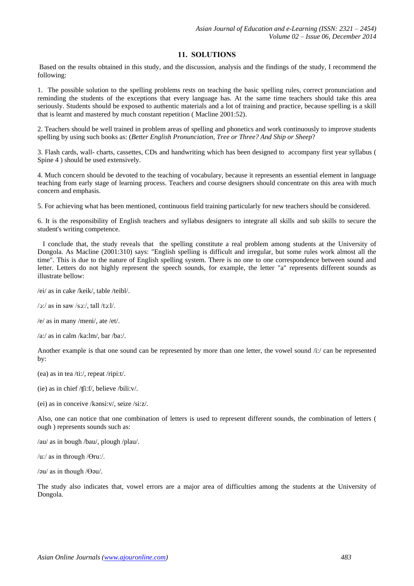# **11. SOLUTIONS**

Based on the results obtained in this study, and the discussion, analysis and the findings of the study, I recommend the following:

1. The possible solution to the spelling problems rests on teaching the basic spelling rules, correct pronunciation and reminding the students of the exceptions that every language has. At the same time teachers should take this area seriously. Students should be exposed to authentic materials and a lot of training and practice, because spelling is a skill that is learnt and mastered by much constant repetition ( Macline 2001:52).

2. Teachers should be well trained in problem areas of spelling and phonetics and work continuously to improve students spelling by using such books as: (*Better English Pronunciation, Tree or Three? And Ship or Sheep*?

3. Flash cards, wall- charts, cassettes, CDs and handwriting which has been designed to accompany first year syllabus ( Spine 4 ) should be used extensively.

4. Much concern should be devoted to the teaching of vocabulary, because it represents an essential element in language teaching from early stage of learning process. Teachers and course designers should concentrate on this area with much concern and emphasis.

5. For achieving what has been mentioned, continuous field training particularly for new teachers should be considered.

6. It is the responsibility of English teachers and syllabus designers to integrate all skills and sub skills to secure the student's writing competence.

 I conclude that, the study reveals that the spelling constitute a real problem among students at the University of Dongola. As Macline (2001:310) says: "English spelling is difficult and irregular, but some rules work almost all the time". This is due to the nature of English spelling system. There is no one to one correspondence between sound and letter. Letters do not highly represent the speech sounds, for example, the letter "a" represents different sounds as illustrate bellow:

/ei/ as in cake /keik/, table /teibl/.

/ͻ:/ as in saw /sͻ:/, tall /tͻ:l/.

/e/ as in many /meni/, ate /et/.

/a:/ as in calm /ka:lm/, bar /ba:/.

Another example is that one sound can be represented by more than one letter, the vowel sound /i:/ can be represented by:

(ea) as in tea /ti:/, repeat /ripi:t/.

(ie) as in chief /ʧi:f/, believe /bili:v/.

(ei) as in conceive /kənsi:v/, seize /si:z/.

Also, one can notice that one combination of letters is used to represent different sounds, the combination of letters ( ough ) represents sounds such as:

/au/ as in bough /bau/, plough /plau/.

/u:/ as in through / $\Theta$ ru:/.

/ $\partial u$  as in though / $\Theta$  $\partial u$ /.

The study also indicates that, vowel errors are a major area of difficulties among the students at the University of Dongola.